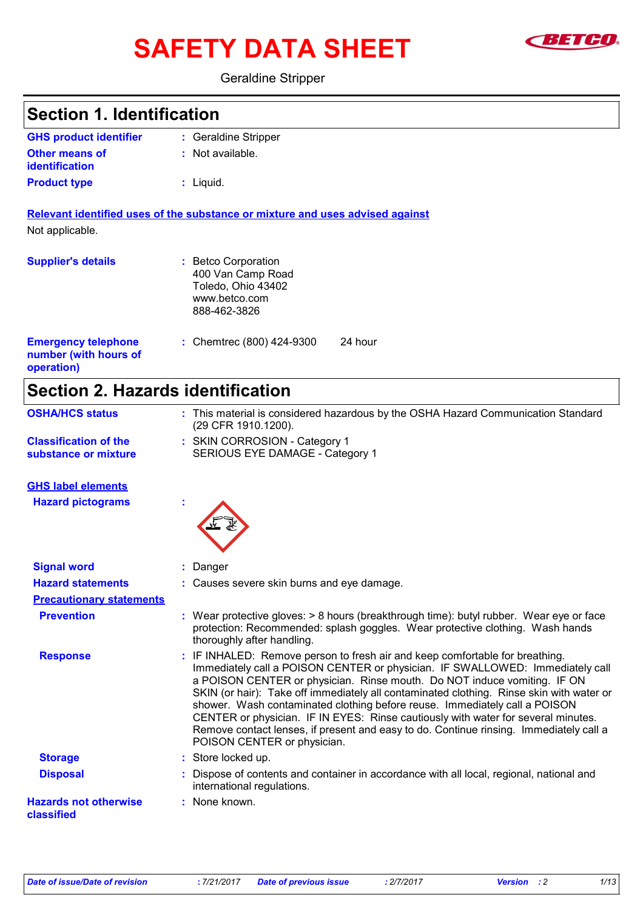# SAFETY DATA SHEET **SAFET**



#### Geraldine Stripper

**Section 1. Identification**

| <b>GHS product identifier</b>                                     | : Geraldine Stripper                                                                                                                                                                                                                                                                                                                                                                                                                                                                                                                                                                                                            |
|-------------------------------------------------------------------|---------------------------------------------------------------------------------------------------------------------------------------------------------------------------------------------------------------------------------------------------------------------------------------------------------------------------------------------------------------------------------------------------------------------------------------------------------------------------------------------------------------------------------------------------------------------------------------------------------------------------------|
| <b>Other means of</b><br>identification                           | Not available.                                                                                                                                                                                                                                                                                                                                                                                                                                                                                                                                                                                                                  |
| <b>Product type</b>                                               | $:$ Liquid.                                                                                                                                                                                                                                                                                                                                                                                                                                                                                                                                                                                                                     |
|                                                                   | Relevant identified uses of the substance or mixture and uses advised against                                                                                                                                                                                                                                                                                                                                                                                                                                                                                                                                                   |
| Not applicable.                                                   |                                                                                                                                                                                                                                                                                                                                                                                                                                                                                                                                                                                                                                 |
| <b>Supplier's details</b>                                         | <b>Betco Corporation</b><br>400 Van Camp Road<br>Toledo, Ohio 43402<br>www.betco.com<br>888-462-3826                                                                                                                                                                                                                                                                                                                                                                                                                                                                                                                            |
| <b>Emergency telephone</b><br>number (with hours of<br>operation) | 24 hour<br>: Chemtrec (800) 424-9300                                                                                                                                                                                                                                                                                                                                                                                                                                                                                                                                                                                            |
| <b>Section 2. Hazards identification</b>                          |                                                                                                                                                                                                                                                                                                                                                                                                                                                                                                                                                                                                                                 |
| <b>OSHA/HCS status</b>                                            | : This material is considered hazardous by the OSHA Hazard Communication Standard<br>(29 CFR 1910.1200).                                                                                                                                                                                                                                                                                                                                                                                                                                                                                                                        |
| <b>Classification of the</b><br>substance or mixture              | : SKIN CORROSION - Category 1<br>SERIOUS EYE DAMAGE - Category 1                                                                                                                                                                                                                                                                                                                                                                                                                                                                                                                                                                |
| <b>GHS label elements</b>                                         |                                                                                                                                                                                                                                                                                                                                                                                                                                                                                                                                                                                                                                 |
| <b>Hazard pictograms</b>                                          |                                                                                                                                                                                                                                                                                                                                                                                                                                                                                                                                                                                                                                 |
| <b>Signal word</b>                                                | Danger                                                                                                                                                                                                                                                                                                                                                                                                                                                                                                                                                                                                                          |
| <b>Hazard statements</b>                                          | : Causes severe skin burns and eye damage.                                                                                                                                                                                                                                                                                                                                                                                                                                                                                                                                                                                      |
| <b>Precautionary statements</b>                                   |                                                                                                                                                                                                                                                                                                                                                                                                                                                                                                                                                                                                                                 |
| <b>Prevention</b>                                                 | : Wear protective gloves: $> 8$ hours (breakthrough time): butyl rubber. Wear eye or face<br>protection: Recommended: splash goggles. Wear protective clothing. Wash hands<br>thoroughly after handling.                                                                                                                                                                                                                                                                                                                                                                                                                        |
| <b>Response</b>                                                   | IF INHALED: Remove person to fresh air and keep comfortable for breathing.<br>Immediately call a POISON CENTER or physician. IF SWALLOWED: Immediately call<br>a POISON CENTER or physician. Rinse mouth. Do NOT induce vomiting. IF ON<br>SKIN (or hair): Take off immediately all contaminated clothing. Rinse skin with water or<br>shower. Wash contaminated clothing before reuse. Immediately call a POISON<br>CENTER or physician. IF IN EYES: Rinse cautiously with water for several minutes.<br>Remove contact lenses, if present and easy to do. Continue rinsing. Immediately call a<br>POISON CENTER or physician. |
| <b>Storage</b>                                                    | : Store locked up.                                                                                                                                                                                                                                                                                                                                                                                                                                                                                                                                                                                                              |
| <b>Disposal</b>                                                   | : Dispose of contents and container in accordance with all local, regional, national and<br>international regulations.                                                                                                                                                                                                                                                                                                                                                                                                                                                                                                          |
| <b>Hazards not otherwise</b><br>classified                        | None known.                                                                                                                                                                                                                                                                                                                                                                                                                                                                                                                                                                                                                     |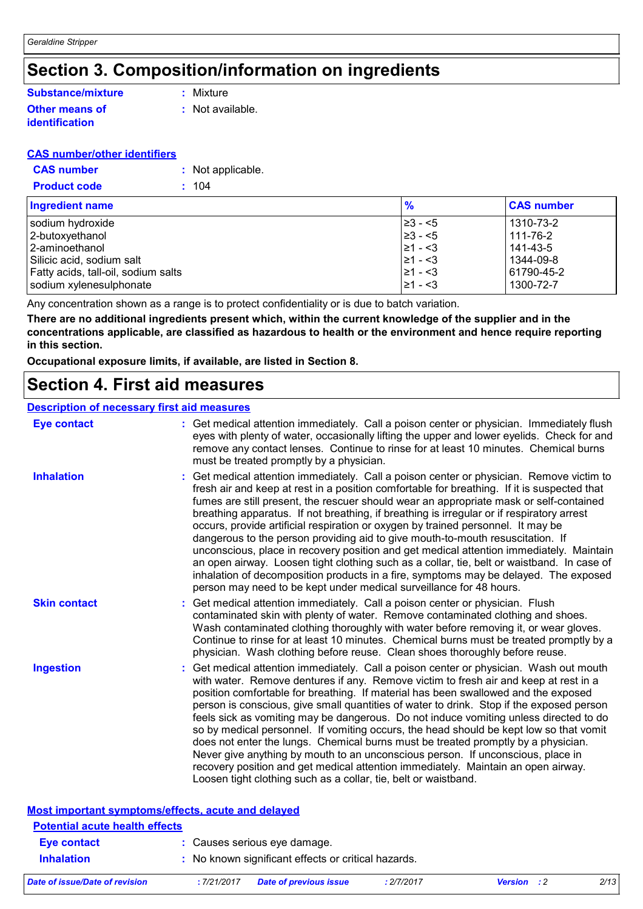## **Section 3. Composition/information on ingredients**

#### **Other means of identification Substance/mixture**

**:** Mixture

**:** Not available.

#### **CAS number/other identifiers**

| <b>CAS number</b>   | : Not applicable. |
|---------------------|-------------------|
| <b>Product code</b> | : 104             |

| Ingredient name                     | $\frac{9}{6}$ | <b>CAS number</b> |
|-------------------------------------|---------------|-------------------|
| sodium hydroxide                    | I≥3 - <5      | 1310-73-2         |
| 2-butoxyethanol                     | $\geq 3 - 5$  | 111-76-2          |
| l 2-aminoethanol                    | 21 - <3       | 141-43-5          |
| Silicic acid, sodium salt           | $ 21 - 53$    | 1344-09-8         |
| Fatty acids, tall-oil, sodium salts | 21 - <3       | 61790-45-2        |
| sodium xylenesulphonate             | $ 21 - 53 $   | 1300-72-7         |

Any concentration shown as a range is to protect confidentiality or is due to batch variation.

**There are no additional ingredients present which, within the current knowledge of the supplier and in the concentrations applicable, are classified as hazardous to health or the environment and hence require reporting in this section.**

**Occupational exposure limits, if available, are listed in Section 8.**

### **Section 4. First aid measures**

#### **Description of necessary first aid measures**

| <b>Eye contact</b>                                 | : Get medical attention immediately. Call a poison center or physician. Immediately flush<br>eyes with plenty of water, occasionally lifting the upper and lower eyelids. Check for and<br>remove any contact lenses. Continue to rinse for at least 10 minutes. Chemical burns<br>must be treated promptly by a physician.                                                                                                                                                                                                                                                                                                                                                                                                                                                                                                                                                                                  |
|----------------------------------------------------|--------------------------------------------------------------------------------------------------------------------------------------------------------------------------------------------------------------------------------------------------------------------------------------------------------------------------------------------------------------------------------------------------------------------------------------------------------------------------------------------------------------------------------------------------------------------------------------------------------------------------------------------------------------------------------------------------------------------------------------------------------------------------------------------------------------------------------------------------------------------------------------------------------------|
| <b>Inhalation</b>                                  | : Get medical attention immediately. Call a poison center or physician. Remove victim to<br>fresh air and keep at rest in a position comfortable for breathing. If it is suspected that<br>fumes are still present, the rescuer should wear an appropriate mask or self-contained<br>breathing apparatus. If not breathing, if breathing is irregular or if respiratory arrest<br>occurs, provide artificial respiration or oxygen by trained personnel. It may be<br>dangerous to the person providing aid to give mouth-to-mouth resuscitation. If<br>unconscious, place in recovery position and get medical attention immediately. Maintain<br>an open airway. Loosen tight clothing such as a collar, tie, belt or waistband. In case of<br>inhalation of decomposition products in a fire, symptoms may be delayed. The exposed<br>person may need to be kept under medical surveillance for 48 hours. |
| <b>Skin contact</b>                                | : Get medical attention immediately. Call a poison center or physician. Flush<br>contaminated skin with plenty of water. Remove contaminated clothing and shoes.<br>Wash contaminated clothing thoroughly with water before removing it, or wear gloves.<br>Continue to rinse for at least 10 minutes. Chemical burns must be treated promptly by a<br>physician. Wash clothing before reuse. Clean shoes thoroughly before reuse.                                                                                                                                                                                                                                                                                                                                                                                                                                                                           |
| <b>Ingestion</b>                                   | : Get medical attention immediately. Call a poison center or physician. Wash out mouth<br>with water. Remove dentures if any. Remove victim to fresh air and keep at rest in a<br>position comfortable for breathing. If material has been swallowed and the exposed<br>person is conscious, give small quantities of water to drink. Stop if the exposed person<br>feels sick as vomiting may be dangerous. Do not induce vomiting unless directed to do<br>so by medical personnel. If vomiting occurs, the head should be kept low so that vomit<br>does not enter the lungs. Chemical burns must be treated promptly by a physician.<br>Never give anything by mouth to an unconscious person. If unconscious, place in<br>recovery position and get medical attention immediately. Maintain an open airway.<br>Loosen tight clothing such as a collar, tie, belt or waistband.                          |
| Most important symptoms/effects, acute and delayed |                                                                                                                                                                                                                                                                                                                                                                                                                                                                                                                                                                                                                                                                                                                                                                                                                                                                                                              |
| <b>Dotantial goute health offects</b>              |                                                                                                                                                                                                                                                                                                                                                                                                                                                                                                                                                                                                                                                                                                                                                                                                                                                                                                              |

| <b>Potential acute health effects</b> |            |                                                     |            |                    |      |
|---------------------------------------|------------|-----------------------------------------------------|------------|--------------------|------|
| Eye contact                           |            | : Causes serious eye damage.                        |            |                    |      |
| <b>Inhalation</b>                     |            | : No known significant effects or critical hazards. |            |                    |      |
| Date of issue/Date of revision        | :7/21/2017 | <b>Date of previous issue</b>                       | : 2/7/2017 | <b>Version</b> : 2 | 2/13 |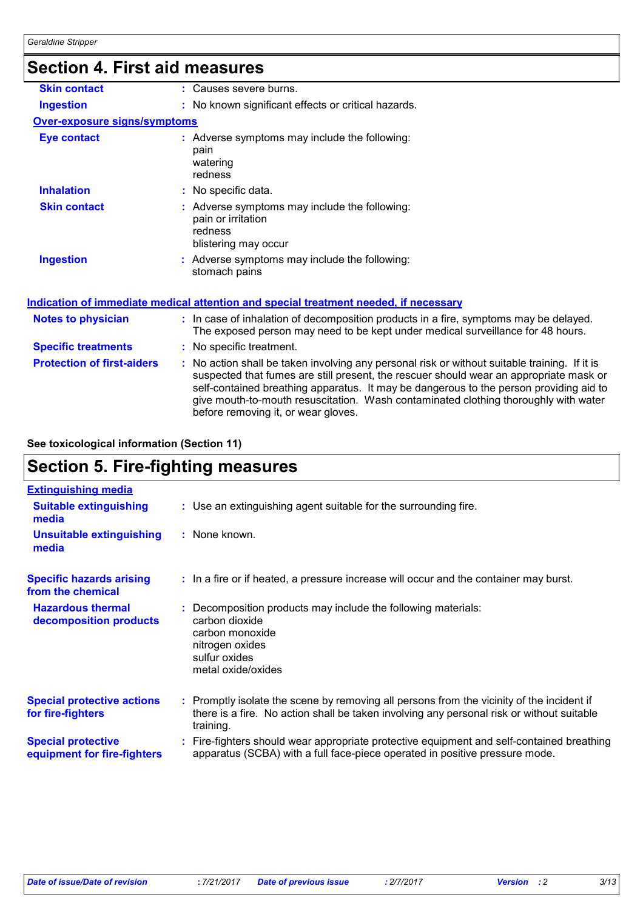# **Section 4. First aid measures**

| <b>Skin contact</b>                 | : Causes severe burns.                                                                                                                                                                                                                                                                                                                                                                                          |
|-------------------------------------|-----------------------------------------------------------------------------------------------------------------------------------------------------------------------------------------------------------------------------------------------------------------------------------------------------------------------------------------------------------------------------------------------------------------|
| <b>Ingestion</b>                    | : No known significant effects or critical hazards.                                                                                                                                                                                                                                                                                                                                                             |
| <b>Over-exposure signs/symptoms</b> |                                                                                                                                                                                                                                                                                                                                                                                                                 |
| <b>Eye contact</b>                  | : Adverse symptoms may include the following:<br>pain<br>watering<br>redness                                                                                                                                                                                                                                                                                                                                    |
| <b>Inhalation</b>                   | : No specific data.                                                                                                                                                                                                                                                                                                                                                                                             |
| <b>Skin contact</b>                 | : Adverse symptoms may include the following:<br>pain or irritation<br>redness<br>blistering may occur                                                                                                                                                                                                                                                                                                          |
| <b>Ingestion</b>                    | : Adverse symptoms may include the following:<br>stomach pains                                                                                                                                                                                                                                                                                                                                                  |
|                                     | <u>Indication of immediate medical attention and special treatment needed, if necessary</u>                                                                                                                                                                                                                                                                                                                     |
| <b>Notes to physician</b>           | : In case of inhalation of decomposition products in a fire, symptoms may be delayed.<br>The exposed person may need to be kept under medical surveillance for 48 hours.                                                                                                                                                                                                                                        |
| <b>Specific treatments</b>          | : No specific treatment.                                                                                                                                                                                                                                                                                                                                                                                        |
| <b>Protection of first-aiders</b>   | : No action shall be taken involving any personal risk or without suitable training. If it is<br>suspected that fumes are still present, the rescuer should wear an appropriate mask or<br>self-contained breathing apparatus. It may be dangerous to the person providing aid to<br>give mouth-to-mouth resuscitation. Wash contaminated clothing thoroughly with water<br>before removing it, or wear gloves. |
|                                     |                                                                                                                                                                                                                                                                                                                                                                                                                 |

#### **See toxicological information (Section 11)**

# **Section 5. Fire-fighting measures**

| <b>Extinguishing media</b>                               |                                                                                                                                                                                                     |
|----------------------------------------------------------|-----------------------------------------------------------------------------------------------------------------------------------------------------------------------------------------------------|
| <b>Suitable extinguishing</b><br>media                   | : Use an extinguishing agent suitable for the surrounding fire.                                                                                                                                     |
| <b>Unsuitable extinguishing</b><br>media                 | : None known.                                                                                                                                                                                       |
| <b>Specific hazards arising</b><br>from the chemical     | : In a fire or if heated, a pressure increase will occur and the container may burst.                                                                                                               |
| <b>Hazardous thermal</b><br>decomposition products       | : Decomposition products may include the following materials:<br>carbon dioxide<br>carbon monoxide<br>nitrogen oxides<br>sulfur oxides<br>metal oxide/oxides                                        |
| <b>Special protective actions</b><br>for fire-fighters   | : Promptly isolate the scene by removing all persons from the vicinity of the incident if<br>there is a fire. No action shall be taken involving any personal risk or without suitable<br>training. |
| <b>Special protective</b><br>equipment for fire-fighters | : Fire-fighters should wear appropriate protective equipment and self-contained breathing<br>apparatus (SCBA) with a full face-piece operated in positive pressure mode.                            |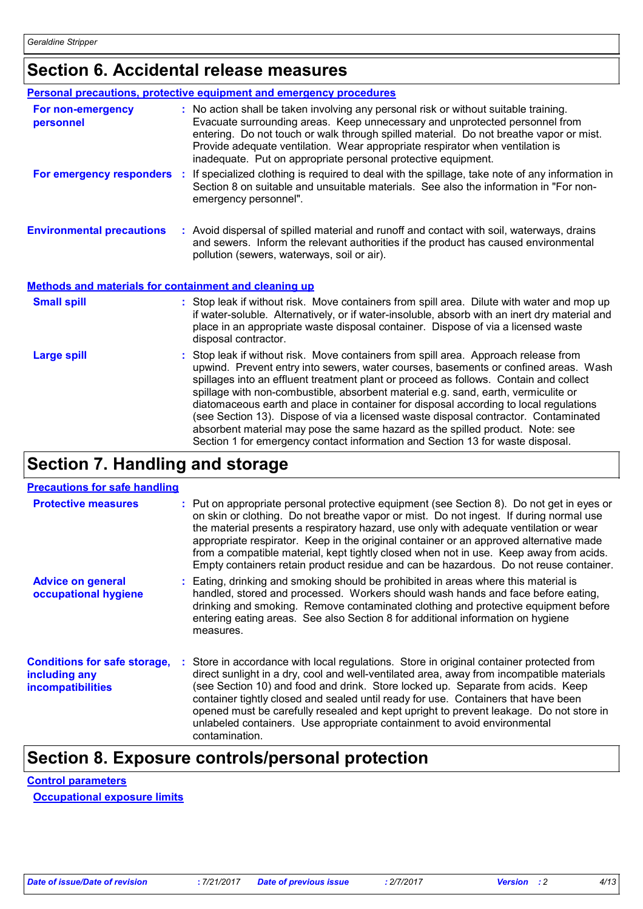# **Section 6. Accidental release measures**

|                                                              | Personal precautions, protective equipment and emergency procedures                                                                                                                                                                                                                                                                                                                                                                                                                                                                                                                                                                                                                                        |
|--------------------------------------------------------------|------------------------------------------------------------------------------------------------------------------------------------------------------------------------------------------------------------------------------------------------------------------------------------------------------------------------------------------------------------------------------------------------------------------------------------------------------------------------------------------------------------------------------------------------------------------------------------------------------------------------------------------------------------------------------------------------------------|
| For non-emergency<br>personnel                               | : No action shall be taken involving any personal risk or without suitable training.<br>Evacuate surrounding areas. Keep unnecessary and unprotected personnel from<br>entering. Do not touch or walk through spilled material. Do not breathe vapor or mist.<br>Provide adequate ventilation. Wear appropriate respirator when ventilation is<br>inadequate. Put on appropriate personal protective equipment.                                                                                                                                                                                                                                                                                            |
| For emergency responders :                                   | If specialized clothing is required to deal with the spillage, take note of any information in<br>Section 8 on suitable and unsuitable materials. See also the information in "For non-<br>emergency personnel".                                                                                                                                                                                                                                                                                                                                                                                                                                                                                           |
| <b>Environmental precautions</b>                             | : Avoid dispersal of spilled material and runoff and contact with soil, waterways, drains<br>and sewers. Inform the relevant authorities if the product has caused environmental<br>pollution (sewers, waterways, soil or air).                                                                                                                                                                                                                                                                                                                                                                                                                                                                            |
| <b>Methods and materials for containment and cleaning up</b> |                                                                                                                                                                                                                                                                                                                                                                                                                                                                                                                                                                                                                                                                                                            |
| <b>Small spill</b>                                           | : Stop leak if without risk. Move containers from spill area. Dilute with water and mop up<br>if water-soluble. Alternatively, or if water-insoluble, absorb with an inert dry material and<br>place in an appropriate waste disposal container. Dispose of via a licensed waste<br>disposal contractor.                                                                                                                                                                                                                                                                                                                                                                                                   |
| <b>Large spill</b>                                           | Stop leak if without risk. Move containers from spill area. Approach release from<br>upwind. Prevent entry into sewers, water courses, basements or confined areas. Wash<br>spillages into an effluent treatment plant or proceed as follows. Contain and collect<br>spillage with non-combustible, absorbent material e.g. sand, earth, vermiculite or<br>diatomaceous earth and place in container for disposal according to local regulations<br>(see Section 13). Dispose of via a licensed waste disposal contractor. Contaminated<br>absorbent material may pose the same hazard as the spilled product. Note: see<br>Section 1 for emergency contact information and Section 13 for waste disposal. |

## **Section 7. Handling and storage**

| <b>Protective measures</b>                                                       | : Put on appropriate personal protective equipment (see Section 8). Do not get in eyes or<br>on skin or clothing. Do not breathe vapor or mist. Do not ingest. If during normal use<br>the material presents a respiratory hazard, use only with adequate ventilation or wear<br>appropriate respirator. Keep in the original container or an approved alternative made<br>from a compatible material, kept tightly closed when not in use. Keep away from acids.<br>Empty containers retain product residue and can be hazardous. Do not reuse container. |
|----------------------------------------------------------------------------------|------------------------------------------------------------------------------------------------------------------------------------------------------------------------------------------------------------------------------------------------------------------------------------------------------------------------------------------------------------------------------------------------------------------------------------------------------------------------------------------------------------------------------------------------------------|
| <b>Advice on general</b><br>occupational hygiene                                 | : Eating, drinking and smoking should be prohibited in areas where this material is<br>handled, stored and processed. Workers should wash hands and face before eating,<br>drinking and smoking. Remove contaminated clothing and protective equipment before<br>entering eating areas. See also Section 8 for additional information on hygiene<br>measures.                                                                                                                                                                                              |
| <b>Conditions for safe storage,</b><br>including any<br><b>incompatibilities</b> | : Store in accordance with local regulations. Store in original container protected from<br>direct sunlight in a dry, cool and well-ventilated area, away from incompatible materials<br>(see Section 10) and food and drink. Store locked up. Separate from acids. Keep<br>container tightly closed and sealed until ready for use. Containers that have been<br>opened must be carefully resealed and kept upright to prevent leakage. Do not store in<br>unlabeled containers. Use appropriate containment to avoid environmental<br>contamination.     |

# **Section 8. Exposure controls/personal protection**

**Control parameters**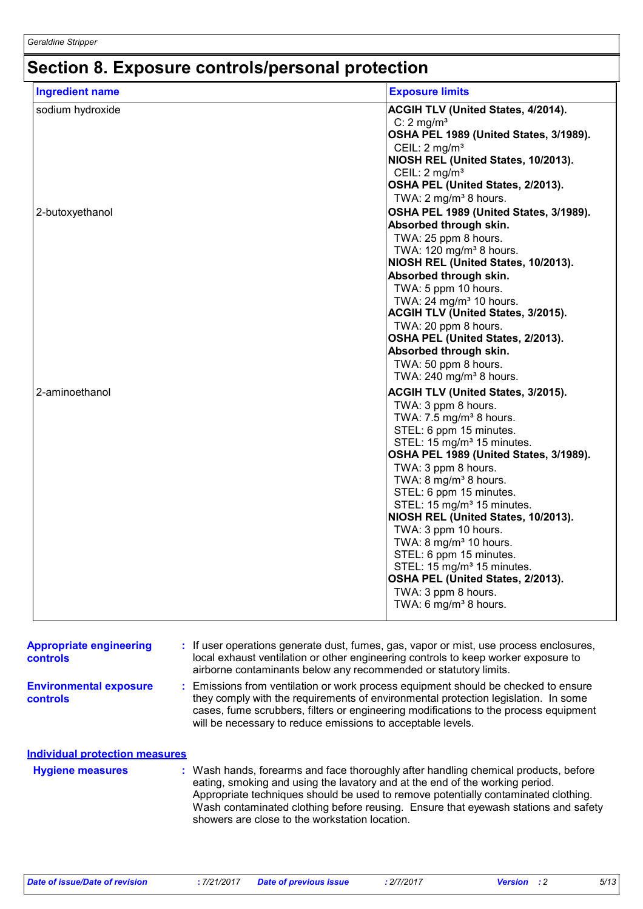# **Section 8. Exposure controls/personal protection**

| <b>Ingredient name</b> | <b>Exposure limits</b>                                     |
|------------------------|------------------------------------------------------------|
| sodium hydroxide       | ACGIH TLV (United States, 4/2014).                         |
|                        | C: $2 \text{ mg/m}^3$                                      |
|                        | OSHA PEL 1989 (United States, 3/1989).                     |
|                        | CEIL: 2 mg/m <sup>3</sup>                                  |
|                        | NIOSH REL (United States, 10/2013).                        |
|                        | CEIL: $2 \text{ mg/m}^3$                                   |
|                        | OSHA PEL (United States, 2/2013).                          |
|                        | TWA: 2 mg/m <sup>3</sup> 8 hours.                          |
| 2-butoxyethanol        | OSHA PEL 1989 (United States, 3/1989).                     |
|                        | Absorbed through skin.                                     |
|                        | TWA: 25 ppm 8 hours.<br>TWA: $120 \text{ mg/m}^3$ 8 hours. |
|                        | NIOSH REL (United States, 10/2013).                        |
|                        | Absorbed through skin.                                     |
|                        | TWA: 5 ppm 10 hours.                                       |
|                        | TWA: $24 \text{ mg/m}^3$ 10 hours.                         |
|                        | ACGIH TLV (United States, 3/2015).                         |
|                        | TWA: 20 ppm 8 hours.                                       |
|                        | OSHA PEL (United States, 2/2013).                          |
|                        | Absorbed through skin.                                     |
|                        | TWA: 50 ppm 8 hours.                                       |
|                        | TWA: 240 mg/m <sup>3</sup> 8 hours.                        |
| 2-aminoethanol         | ACGIH TLV (United States, 3/2015).                         |
|                        | TWA: 3 ppm 8 hours.                                        |
|                        | TWA: $7.5$ mg/m <sup>3</sup> 8 hours.                      |
|                        | STEL: 6 ppm 15 minutes.                                    |
|                        | STEL: 15 mg/m <sup>3</sup> 15 minutes.                     |
|                        | OSHA PEL 1989 (United States, 3/1989).                     |
|                        | TWA: 3 ppm 8 hours.<br>TWA: 8 mg/m <sup>3</sup> 8 hours.   |
|                        | STEL: 6 ppm 15 minutes.                                    |
|                        | STEL: 15 mg/m <sup>3</sup> 15 minutes.                     |
|                        | NIOSH REL (United States, 10/2013).                        |
|                        | TWA: 3 ppm 10 hours.                                       |
|                        | TWA: 8 mg/m <sup>3</sup> 10 hours.                         |
|                        | STEL: 6 ppm 15 minutes.                                    |
|                        | STEL: 15 mg/m <sup>3</sup> 15 minutes.                     |
|                        | OSHA PEL (United States, 2/2013).                          |
|                        | TWA: 3 ppm 8 hours.                                        |
|                        | TWA: 6 mg/m <sup>3</sup> 8 hours.                          |

| <b>Appropriate engineering</b><br><b>controls</b> | : If user operations generate dust, fumes, gas, vapor or mist, use process enclosures,<br>local exhaust ventilation or other engineering controls to keep worker exposure to<br>airborne contaminants below any recommended or statutory limits.                                                                                                                                                  |
|---------------------------------------------------|---------------------------------------------------------------------------------------------------------------------------------------------------------------------------------------------------------------------------------------------------------------------------------------------------------------------------------------------------------------------------------------------------|
| <b>Environmental exposure</b><br><b>controls</b>  | : Emissions from ventilation or work process equipment should be checked to ensure<br>they comply with the requirements of environmental protection legislation. In some<br>cases, fume scrubbers, filters or engineering modifications to the process equipment<br>will be necessary to reduce emissions to acceptable levels.                                                                   |
| <b>Individual protection measures</b>             |                                                                                                                                                                                                                                                                                                                                                                                                   |
| <b>Hygiene measures</b>                           | : Wash hands, forearms and face thoroughly after handling chemical products, before<br>eating, smoking and using the lavatory and at the end of the working period.<br>Appropriate techniques should be used to remove potentially contaminated clothing.<br>Wash contaminated clothing before reusing. Ensure that eyewash stations and safety<br>showers are close to the workstation location. |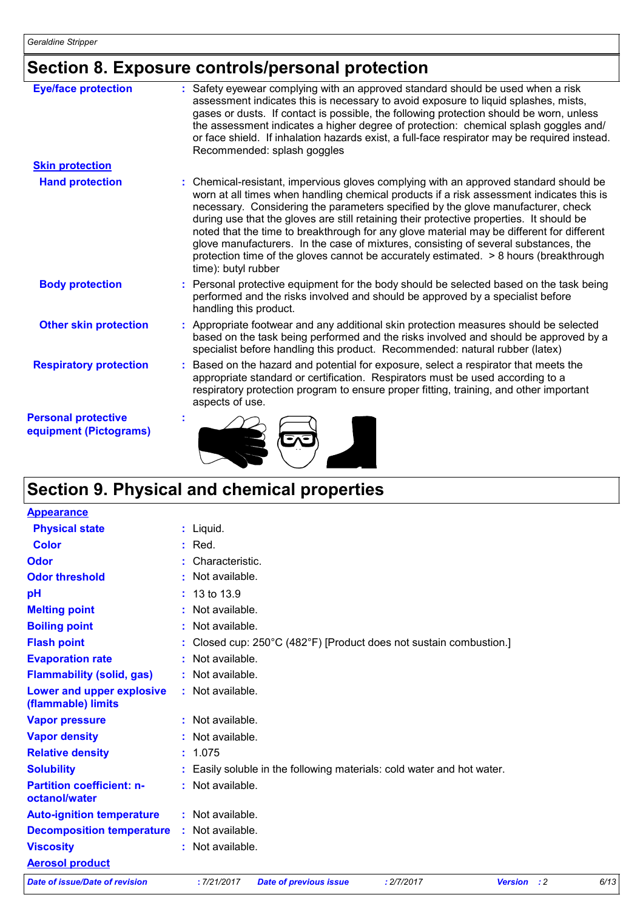# **Section 8. Exposure controls/personal protection**

| <b>Eye/face protection</b>                           | : Safety eyewear complying with an approved standard should be used when a risk<br>assessment indicates this is necessary to avoid exposure to liquid splashes, mists,<br>gases or dusts. If contact is possible, the following protection should be worn, unless<br>the assessment indicates a higher degree of protection: chemical splash goggles and/<br>or face shield. If inhalation hazards exist, a full-face respirator may be required instead.<br>Recommended: splash goggles                                                                                                                                                                              |
|------------------------------------------------------|-----------------------------------------------------------------------------------------------------------------------------------------------------------------------------------------------------------------------------------------------------------------------------------------------------------------------------------------------------------------------------------------------------------------------------------------------------------------------------------------------------------------------------------------------------------------------------------------------------------------------------------------------------------------------|
| <b>Skin protection</b>                               |                                                                                                                                                                                                                                                                                                                                                                                                                                                                                                                                                                                                                                                                       |
| <b>Hand protection</b>                               | : Chemical-resistant, impervious gloves complying with an approved standard should be<br>worn at all times when handling chemical products if a risk assessment indicates this is<br>necessary. Considering the parameters specified by the glove manufacturer, check<br>during use that the gloves are still retaining their protective properties. It should be<br>noted that the time to breakthrough for any glove material may be different for different<br>glove manufacturers. In the case of mixtures, consisting of several substances, the<br>protection time of the gloves cannot be accurately estimated. > 8 hours (breakthrough<br>time): butyl rubber |
| <b>Body protection</b>                               | : Personal protective equipment for the body should be selected based on the task being<br>performed and the risks involved and should be approved by a specialist before<br>handling this product.                                                                                                                                                                                                                                                                                                                                                                                                                                                                   |
| <b>Other skin protection</b>                         | : Appropriate footwear and any additional skin protection measures should be selected<br>based on the task being performed and the risks involved and should be approved by a<br>specialist before handling this product. Recommended: natural rubber (latex)                                                                                                                                                                                                                                                                                                                                                                                                         |
| <b>Respiratory protection</b>                        | : Based on the hazard and potential for exposure, select a respirator that meets the<br>appropriate standard or certification. Respirators must be used according to a<br>respiratory protection program to ensure proper fitting, training, and other important<br>aspects of use.                                                                                                                                                                                                                                                                                                                                                                                   |
| <b>Personal protective</b><br>equipment (Pictograms) |                                                                                                                                                                                                                                                                                                                                                                                                                                                                                                                                                                                                                                                                       |

# **Section 9. Physical and chemical properties**

| <b>Appearance</b>                                 |                         |                                                                        |            |                |             |      |
|---------------------------------------------------|-------------------------|------------------------------------------------------------------------|------------|----------------|-------------|------|
| <b>Physical state</b>                             | $:$ Liquid.             |                                                                        |            |                |             |      |
| <b>Color</b>                                      | $:$ Red.                |                                                                        |            |                |             |      |
| Odor                                              | : Characteristic.       |                                                                        |            |                |             |      |
| <b>Odor threshold</b>                             | : Not available.        |                                                                        |            |                |             |      |
| pH                                                | $: 13 \text{ to } 13.9$ |                                                                        |            |                |             |      |
| <b>Melting point</b>                              | : Not available.        |                                                                        |            |                |             |      |
| <b>Boiling point</b>                              | : Not available.        |                                                                        |            |                |             |      |
| <b>Flash point</b>                                |                         | : Closed cup: 250°C (482°F) [Product does not sustain combustion.]     |            |                |             |      |
| <b>Evaporation rate</b>                           | : Not available.        |                                                                        |            |                |             |      |
| <b>Flammability (solid, gas)</b>                  | : Not available.        |                                                                        |            |                |             |      |
| Lower and upper explosive<br>(flammable) limits   | : Not available.        |                                                                        |            |                |             |      |
| <b>Vapor pressure</b>                             | $:$ Not available.      |                                                                        |            |                |             |      |
| <b>Vapor density</b>                              | : Not available.        |                                                                        |            |                |             |      |
| <b>Relative density</b>                           | : 1.075                 |                                                                        |            |                |             |      |
| <b>Solubility</b>                                 |                         | : Easily soluble in the following materials: cold water and hot water. |            |                |             |      |
| <b>Partition coefficient: n-</b><br>octanol/water | : Not available.        |                                                                        |            |                |             |      |
| <b>Auto-ignition temperature</b>                  | : Not available.        |                                                                        |            |                |             |      |
| <b>Decomposition temperature</b>                  | : Not available.        |                                                                        |            |                |             |      |
| <b>Viscosity</b>                                  | : Not available.        |                                                                        |            |                |             |      |
| <b>Aerosol product</b>                            |                         |                                                                        |            |                |             |      |
| <b>Date of issue/Date of revision</b>             | :7/21/2017              | <b>Date of previous issue</b>                                          | : 2/7/2017 | <b>Version</b> | $\cdot$ : 2 | 6/13 |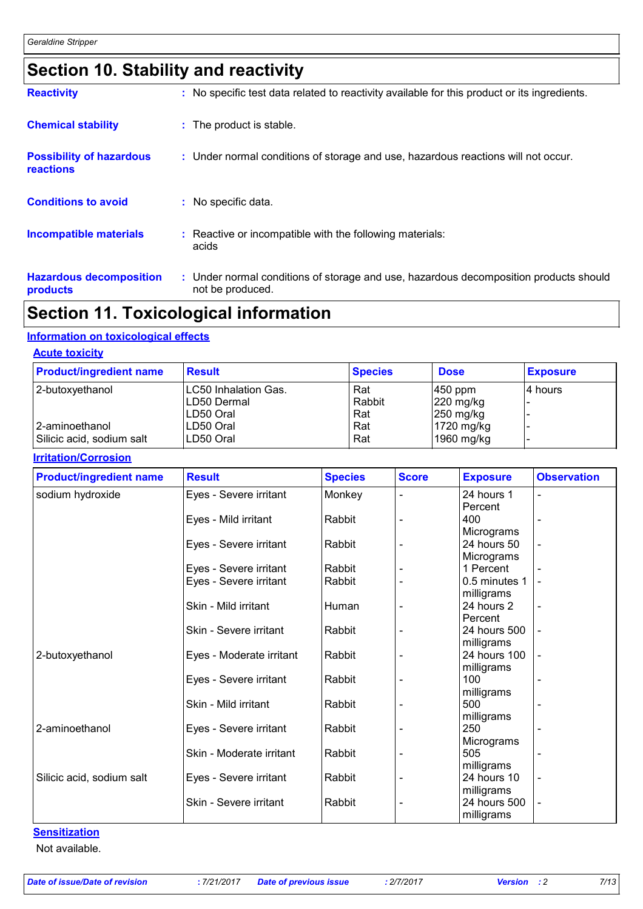# **Section 10. Stability and reactivity**

| <b>Reactivity</b>                                   | : No specific test data related to reactivity available for this product or its ingredients.              |
|-----------------------------------------------------|-----------------------------------------------------------------------------------------------------------|
| <b>Chemical stability</b>                           | : The product is stable.                                                                                  |
| <b>Possibility of hazardous</b><br><b>reactions</b> | : Under normal conditions of storage and use, hazardous reactions will not occur.                         |
| <b>Conditions to avoid</b>                          | : No specific data.                                                                                       |
| <b>Incompatible materials</b>                       | : Reactive or incompatible with the following materials:<br>acids                                         |
| <b>Hazardous decomposition</b><br>products          | : Under normal conditions of storage and use, hazardous decomposition products should<br>not be produced. |

# **Section 11. Toxicological information**

#### **Information on toxicological effects**

#### **Acute toxicity**

| <b>Product/ingredient name</b> | <b>Result</b>        | <b>Species</b> | <b>Dose</b>           | <b>Exposure</b> |
|--------------------------------|----------------------|----------------|-----------------------|-----------------|
| 2-butoxyethanol                | LC50 Inhalation Gas. | Rat            | $ 450$ ppm            | l4 hours        |
|                                | LD50 Dermal          | Rabbit         | $ 220 \text{ mg/kg} $ |                 |
|                                | ILD50 Oral           | Rat            | $ 250 \text{ mg/kg} $ |                 |
| 2-aminoethanol                 | LD50 Oral            | Rat            | $1720$ mg/kg          |                 |
| Silicic acid, sodium salt      | LD50 Oral            | Rat            | 1960 mg/kg            |                 |

#### **Irritation/Corrosion**

| <b>Result</b>          | <b>Species</b>                                                                                                                                                                                                                                                   | <b>Score</b>                                                                                              | <b>Exposure</b> | <b>Observation</b>                                                                                                                                                                                                                                                                         |
|------------------------|------------------------------------------------------------------------------------------------------------------------------------------------------------------------------------------------------------------------------------------------------------------|-----------------------------------------------------------------------------------------------------------|-----------------|--------------------------------------------------------------------------------------------------------------------------------------------------------------------------------------------------------------------------------------------------------------------------------------------|
| Eyes - Severe irritant | Monkey                                                                                                                                                                                                                                                           |                                                                                                           | 24 hours 1      |                                                                                                                                                                                                                                                                                            |
|                        |                                                                                                                                                                                                                                                                  |                                                                                                           | Percent         |                                                                                                                                                                                                                                                                                            |
| Eyes - Mild irritant   | Rabbit                                                                                                                                                                                                                                                           |                                                                                                           | 400             |                                                                                                                                                                                                                                                                                            |
|                        |                                                                                                                                                                                                                                                                  |                                                                                                           | Micrograms      |                                                                                                                                                                                                                                                                                            |
| Eyes - Severe irritant | Rabbit                                                                                                                                                                                                                                                           |                                                                                                           | 24 hours 50     |                                                                                                                                                                                                                                                                                            |
|                        |                                                                                                                                                                                                                                                                  |                                                                                                           |                 |                                                                                                                                                                                                                                                                                            |
|                        |                                                                                                                                                                                                                                                                  |                                                                                                           |                 |                                                                                                                                                                                                                                                                                            |
|                        |                                                                                                                                                                                                                                                                  |                                                                                                           |                 |                                                                                                                                                                                                                                                                                            |
|                        |                                                                                                                                                                                                                                                                  |                                                                                                           |                 |                                                                                                                                                                                                                                                                                            |
|                        |                                                                                                                                                                                                                                                                  |                                                                                                           |                 |                                                                                                                                                                                                                                                                                            |
|                        |                                                                                                                                                                                                                                                                  |                                                                                                           |                 |                                                                                                                                                                                                                                                                                            |
|                        |                                                                                                                                                                                                                                                                  |                                                                                                           |                 |                                                                                                                                                                                                                                                                                            |
|                        |                                                                                                                                                                                                                                                                  |                                                                                                           |                 |                                                                                                                                                                                                                                                                                            |
|                        |                                                                                                                                                                                                                                                                  |                                                                                                           |                 |                                                                                                                                                                                                                                                                                            |
|                        |                                                                                                                                                                                                                                                                  |                                                                                                           |                 |                                                                                                                                                                                                                                                                                            |
|                        |                                                                                                                                                                                                                                                                  |                                                                                                           |                 |                                                                                                                                                                                                                                                                                            |
|                        |                                                                                                                                                                                                                                                                  |                                                                                                           |                 |                                                                                                                                                                                                                                                                                            |
|                        |                                                                                                                                                                                                                                                                  |                                                                                                           |                 |                                                                                                                                                                                                                                                                                            |
|                        |                                                                                                                                                                                                                                                                  |                                                                                                           |                 |                                                                                                                                                                                                                                                                                            |
|                        |                                                                                                                                                                                                                                                                  |                                                                                                           |                 |                                                                                                                                                                                                                                                                                            |
|                        |                                                                                                                                                                                                                                                                  |                                                                                                           |                 |                                                                                                                                                                                                                                                                                            |
|                        |                                                                                                                                                                                                                                                                  |                                                                                                           |                 |                                                                                                                                                                                                                                                                                            |
|                        |                                                                                                                                                                                                                                                                  |                                                                                                           |                 |                                                                                                                                                                                                                                                                                            |
|                        |                                                                                                                                                                                                                                                                  |                                                                                                           |                 |                                                                                                                                                                                                                                                                                            |
| Skin - Severe irritant |                                                                                                                                                                                                                                                                  |                                                                                                           |                 |                                                                                                                                                                                                                                                                                            |
|                        |                                                                                                                                                                                                                                                                  |                                                                                                           |                 |                                                                                                                                                                                                                                                                                            |
|                        | Eyes - Severe irritant<br>Eyes - Severe irritant<br>Skin - Mild irritant<br>Skin - Severe irritant<br>Eyes - Moderate irritant<br>Eyes - Severe irritant<br>Skin - Mild irritant<br>Eyes - Severe irritant<br>Skin - Moderate irritant<br>Eyes - Severe irritant | Rabbit<br>Rabbit<br>Human<br>Rabbit<br>Rabbit<br>Rabbit<br>Rabbit<br>Rabbit<br>Rabbit<br>Rabbit<br>Rabbit |                 | Micrograms<br>1 Percent<br>0.5 minutes 1<br>milligrams<br>24 hours 2<br>Percent<br>24 hours 500<br>milligrams<br>24 hours 100<br>milligrams<br>100<br>milligrams<br>500<br>milligrams<br>250<br>Micrograms<br>505<br>milligrams<br>24 hours 10<br>milligrams<br>24 hours 500<br>milligrams |

#### **Sensitization**

Not available.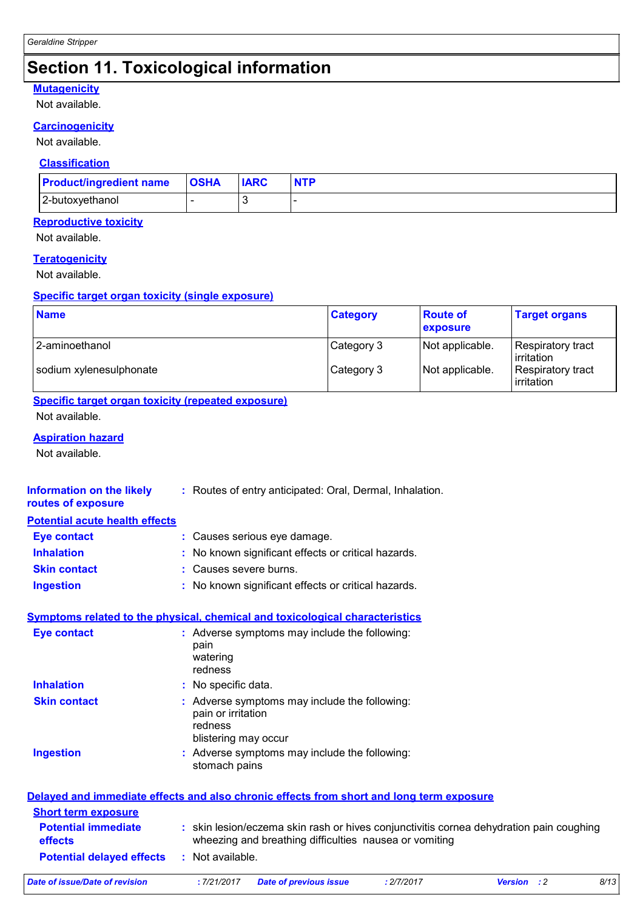# **Section 11. Toxicological information**

#### **Mutagenicity**

Not available.

#### **Carcinogenicity**

Not available.

#### **Classification**

| <b>Product/ingredient name</b> | <b>OSHA</b> | <b>IARC</b> | <b>NTP</b> |
|--------------------------------|-------------|-------------|------------|
| 2-butoxyethanol                |             |             |            |

#### **Reproductive toxicity**

Not available.

#### **Teratogenicity**

Not available.

#### **Specific target organ toxicity (single exposure)**

| <b>Name</b>             | <b>Category</b> | <b>Route of</b><br><b>exposure</b> | <b>Target organs</b>             |
|-------------------------|-----------------|------------------------------------|----------------------------------|
| 2-aminoethanol          | Category 3      | Not applicable.                    | Respiratory tract<br>lirritation |
| sodium xylenesulphonate | Category 3      | Not applicable.                    | Respiratory tract<br>irritation  |

### **Specific target organ toxicity (repeated exposure)**

Not available.

#### **Aspiration hazard**

Not available.

| Information on the likely<br>routes of exposure | : Routes of entry anticipated: Oral, Dermal, Inhalation.                                               |
|-------------------------------------------------|--------------------------------------------------------------------------------------------------------|
| <b>Potential acute health effects</b>           |                                                                                                        |
| <b>Eye contact</b>                              | : Causes serious eye damage.                                                                           |
| <b>Inhalation</b>                               | : No known significant effects or critical hazards.                                                    |
| <b>Skin contact</b>                             | Causes severe burns.                                                                                   |
| <b>Ingestion</b>                                | : No known significant effects or critical hazards.                                                    |
|                                                 | <b>Symptoms related to the physical, chemical and toxicological characteristics</b>                    |
| <b>Eye contact</b>                              | : Adverse symptoms may include the following:<br>pain<br>watering<br>redness                           |
| <b>Inhalation</b>                               | : No specific data.                                                                                    |
| <b>Skin contact</b>                             | : Adverse symptoms may include the following:<br>pain or irritation<br>redness<br>blistering may occur |
| <b>Ingestion</b>                                | : Adverse symptoms may include the following:<br>stomach pains                                         |

| Delayed and immediate effects and also chronic effects from short and long term exposure |                  |                                                                                                                                                   |            |                    |      |
|------------------------------------------------------------------------------------------|------------------|---------------------------------------------------------------------------------------------------------------------------------------------------|------------|--------------------|------|
| <b>Short term exposure</b>                                                               |                  |                                                                                                                                                   |            |                    |      |
| <b>Potential immediate</b><br><b>effects</b>                                             |                  | : skin lesion/eczema skin rash or hives conjunctivitis cornea dehydration pain coughing<br>wheezing and breathing difficulties nausea or vomiting |            |                    |      |
| <b>Potential delayed effects</b>                                                         | : Not available. |                                                                                                                                                   |            |                    |      |
| Date of issue/Date of revision                                                           | :7/21/2017       | Date of previous issue                                                                                                                            | : 2/7/2017 | <b>Version</b> : 2 | 8/13 |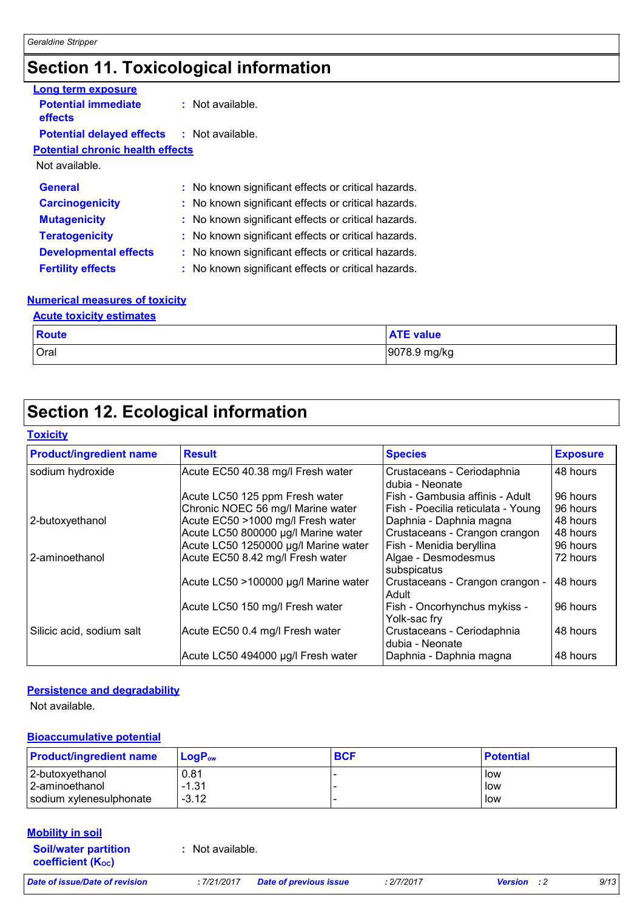# **Section 11. Toxicological information**

| Long term exposure                                |                                                     |
|---------------------------------------------------|-----------------------------------------------------|
| <b>Potential immediate</b><br><b>effects</b>      | $:$ Not available.                                  |
| <b>Potential delayed effects : Not available.</b> |                                                     |
| <b>Potential chronic health effects</b>           |                                                     |
| Not available.                                    |                                                     |
| <b>General</b>                                    | : No known significant effects or critical hazards. |
| <b>Carcinogenicity</b>                            | : No known significant effects or critical hazards. |
| <b>Mutagenicity</b>                               | : No known significant effects or critical hazards. |
| <b>Teratogenicity</b>                             | : No known significant effects or critical hazards. |
| <b>Developmental effects</b>                      | : No known significant effects or critical hazards. |
| <b>Fertility effects</b>                          | : No known significant effects or critical hazards. |

#### **Numerical measures of toxicity**

#### **Acute toxicity estimates**

| Route | <b>ATE value</b> |
|-------|------------------|
| Oral  | 9078.9 mg/kg     |

## **Section 12. Ecological information**

#### **Toxicity**

| <b>Product/ingredient name</b> | <b>Result</b>                        | <b>Species</b>                                | <b>Exposure</b> |
|--------------------------------|--------------------------------------|-----------------------------------------------|-----------------|
| sodium hydroxide               | Acute EC50 40.38 mg/l Fresh water    | Crustaceans - Ceriodaphnia<br>dubia - Neonate | 48 hours        |
|                                | Acute LC50 125 ppm Fresh water       | Fish - Gambusia affinis - Adult               | 96 hours        |
|                                | Chronic NOEC 56 mg/l Marine water    | Fish - Poecilia reticulata - Young            | 96 hours        |
| 2-butoxyethanol                | Acute EC50 >1000 mg/l Fresh water    | Daphnia - Daphnia magna                       | 48 hours        |
|                                | Acute LC50 800000 µg/l Marine water  | Crustaceans - Crangon crangon                 | 48 hours        |
|                                | Acute LC50 1250000 µg/l Marine water | Fish - Menidia beryllina                      | 96 hours        |
| 2-aminoethanol                 | Acute EC50 8.42 mg/l Fresh water     | Algae - Desmodesmus<br>subspicatus            | 72 hours        |
|                                | Acute LC50 >100000 µg/l Marine water | Crustaceans - Crangon crangon -<br>Adult      | 48 hours        |
|                                | Acute LC50 150 mg/l Fresh water      | Fish - Oncorhynchus mykiss -<br>Yolk-sac fry  | 96 hours        |
| Silicic acid, sodium salt      | Acute EC50 0.4 mg/l Fresh water      | Crustaceans - Ceriodaphnia<br>dubia - Neonate | 48 hours        |
|                                | Acute LC50 494000 µg/l Fresh water   | Daphnia - Daphnia magna                       | 48 hours        |

#### **Persistence and degradability**

Not available.

#### **Bioaccumulative potential**

| <b>Product/ingredient name</b> | LogP <sub>ow</sub> | <b>BCF</b> | <b>⊩Potential</b> |
|--------------------------------|--------------------|------------|-------------------|
| 2-butoxyethanol                | 0.81               |            | low               |
| 2-aminoethanol                 | $-1.31$            |            | low               |
| sodium xylenesulphonate        | $-3.12$            |            | low               |

#### **Mobility in soil**

**Soil/water partition coefficient (Koc)** 

**:** Not available.

*Date of issue/Date of revision* **:** *7/21/2017 Date of previous issue : 2/7/2017 Version : 2 9/13*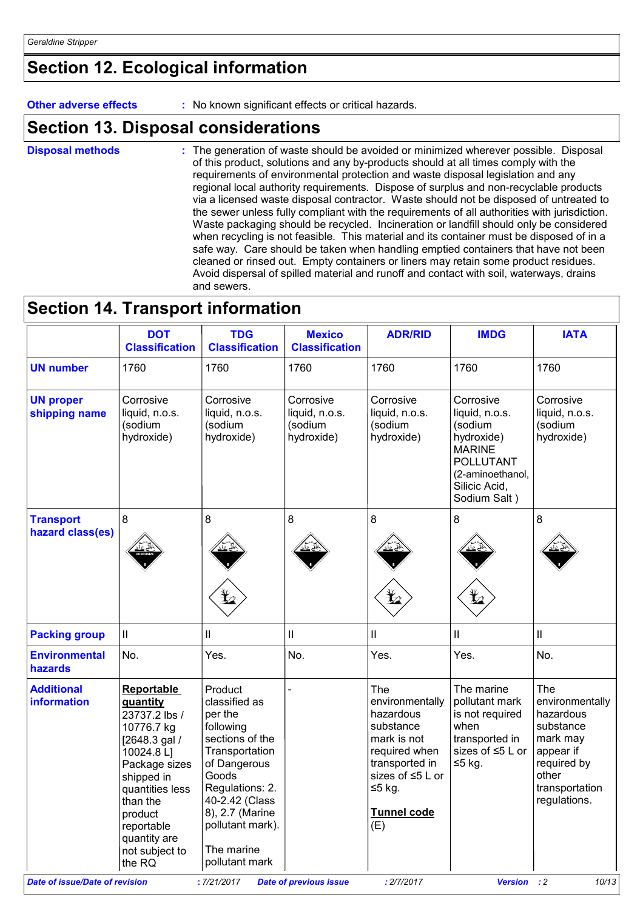# **Section 12. Ecological information**

**Other adverse effects** : No known significant effects or critical hazards.

### **Section 13. Disposal considerations**

The generation of waste should be avoided or minimized wherever possible. Disposal of this product, solutions and any by-products should at all times comply with the requirements of environmental protection and waste disposal legislation and any regional local authority requirements. Dispose of surplus and non-recyclable products via a licensed waste disposal contractor. Waste should not be disposed of untreated to the sewer unless fully compliant with the requirements of all authorities with jurisdiction. Waste packaging should be recycled. Incineration or landfill should only be considered when recycling is not feasible. This material and its container must be disposed of in a safe way. Care should be taken when handling emptied containers that have not been cleaned or rinsed out. Empty containers or liners may retain some product residues. Avoid dispersal of spilled material and runoff and contact with soil, waterways, drains and sewers. **Disposal methods :**

### **Section 14. Transport information**

|                                         | <b>DOT</b><br><b>Classification</b>                                                                                                                                                                                            | <b>TDG</b><br><b>Classification</b>                                                                                                                                                                                        | <b>Mexico</b><br><b>Classification</b>               | <b>ADR/RID</b>                                                                                                                                                        | <b>IMDG</b>                                                                                                                                    | <b>IATA</b>                                                                                                                         |
|-----------------------------------------|--------------------------------------------------------------------------------------------------------------------------------------------------------------------------------------------------------------------------------|----------------------------------------------------------------------------------------------------------------------------------------------------------------------------------------------------------------------------|------------------------------------------------------|-----------------------------------------------------------------------------------------------------------------------------------------------------------------------|------------------------------------------------------------------------------------------------------------------------------------------------|-------------------------------------------------------------------------------------------------------------------------------------|
| <b>UN number</b>                        | 1760                                                                                                                                                                                                                           | 1760                                                                                                                                                                                                                       | 1760                                                 | 1760                                                                                                                                                                  | 1760                                                                                                                                           | 1760                                                                                                                                |
| <b>UN proper</b><br>shipping name       | Corrosive<br>liquid, n.o.s.<br>(sodium<br>hydroxide)                                                                                                                                                                           | Corrosive<br>liquid, n.o.s.<br>(sodium<br>hydroxide)                                                                                                                                                                       | Corrosive<br>liquid, n.o.s.<br>(sodium<br>hydroxide) | Corrosive<br>liquid, n.o.s.<br>(sodium<br>hydroxide)                                                                                                                  | Corrosive<br>liquid, n.o.s.<br>(sodium<br>hydroxide)<br><b>MARINE</b><br><b>POLLUTANT</b><br>(2-aminoethanol,<br>Silicic Acid,<br>Sodium Salt) | Corrosive<br>liquid, n.o.s.<br>(sodium<br>hydroxide)                                                                                |
| <b>Transport</b><br>hazard class(es)    | 8                                                                                                                                                                                                                              | 8                                                                                                                                                                                                                          | 8                                                    | 8                                                                                                                                                                     | 8                                                                                                                                              | 8                                                                                                                                   |
| <b>Packing group</b>                    | Ш                                                                                                                                                                                                                              | Ш                                                                                                                                                                                                                          | $\mathbf{I}$                                         | Ш                                                                                                                                                                     | Ш                                                                                                                                              | $\mathbf{I}$                                                                                                                        |
| <b>Environmental</b><br>hazards         | No.                                                                                                                                                                                                                            | Yes.                                                                                                                                                                                                                       | No.                                                  | Yes.                                                                                                                                                                  | Yes.                                                                                                                                           | No.                                                                                                                                 |
| <b>Additional</b><br><b>information</b> | <b>Reportable</b><br>quantity<br>23737.2 lbs /<br>10776.7 kg<br>[2648.3 gal /<br>10024.8 L]<br>Package sizes<br>shipped in<br>quantities less<br>than the<br>product<br>reportable<br>quantity are<br>not subject to<br>the RQ | Product<br>classified as<br>per the<br>following<br>sections of the<br>Transportation<br>of Dangerous<br>Goods<br>Regulations: 2.<br>40-2.42 (Class<br>8), 2.7 (Marine<br>pollutant mark).<br>The marine<br>pollutant mark |                                                      | The<br>environmentally<br>hazardous<br>substance<br>mark is not<br>required when<br>transported in<br>sizes of $\leq 5$ L or<br>$≤5$ kg.<br><b>Tunnel code</b><br>(E) | The marine<br>pollutant mark<br>is not required<br>when<br>transported in<br>sizes of ≤5 L or<br>≤5 kg.                                        | The<br>environmentally<br>hazardous<br>substance<br>mark may<br>appear if<br>required by<br>other<br>transportation<br>regulations. |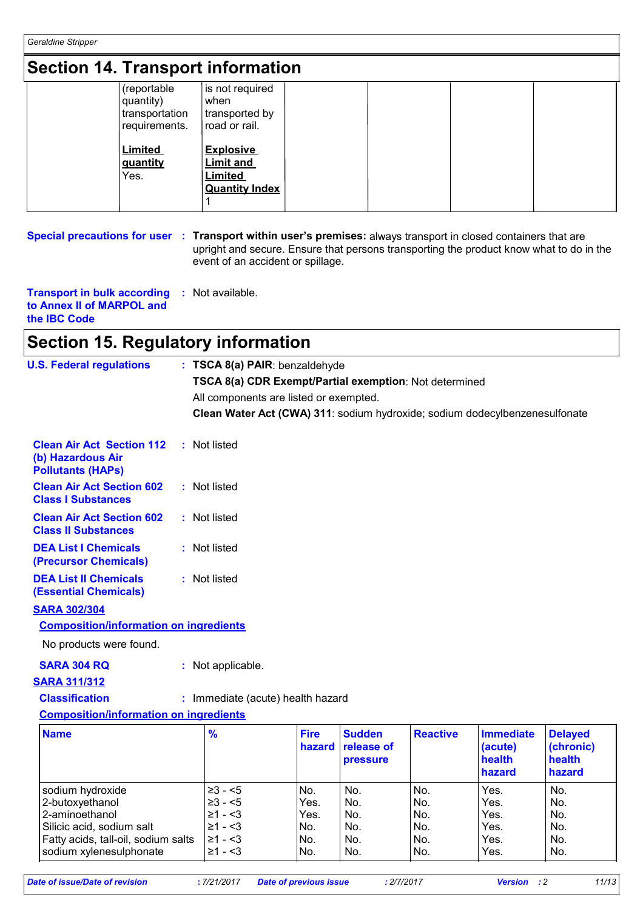*Geraldine Stripper*

### **Section 14. Transport information**

| <b>UGULUTI IT. HANSPULL INTUINALION</b> |                                                             |                                                                                 |  |  |  |
|-----------------------------------------|-------------------------------------------------------------|---------------------------------------------------------------------------------|--|--|--|
|                                         | (reportable<br>quantity)<br>transportation<br>requirements. | is not required<br>when<br>transported by<br>∣road or rail.                     |  |  |  |
|                                         | <b>Limited</b><br>guantity<br>Yes.                          | <b>Explosive</b><br><b>Limit and</b><br><b>Limited</b><br><b>Quantity Index</b> |  |  |  |

**Special precautions for user** : Transport within user's premises: always transport in closed containers that are upright and secure. Ensure that persons transporting the product know what to do in the event of an accident or spillage.

**Transport in bulk according to Annex II of MARPOL and the IBC Code :** Not available.

### **Section 15. Regulatory information**

| <b>U.S. Federal regulations</b>                                                         | : TSCA 8(a) PAIR: benzaldehyde                                              |                       |                                                |                 |                                                 |                                                 |
|-----------------------------------------------------------------------------------------|-----------------------------------------------------------------------------|-----------------------|------------------------------------------------|-----------------|-------------------------------------------------|-------------------------------------------------|
|                                                                                         | TSCA 8(a) CDR Exempt/Partial exemption: Not determined                      |                       |                                                |                 |                                                 |                                                 |
|                                                                                         | All components are listed or exempted.                                      |                       |                                                |                 |                                                 |                                                 |
|                                                                                         | Clean Water Act (CWA) 311: sodium hydroxide; sodium dodecylbenzenesulfonate |                       |                                                |                 |                                                 |                                                 |
| <b>Clean Air Act Section 112</b><br>÷.<br>(b) Hazardous Air<br><b>Pollutants (HAPs)</b> | Not listed                                                                  |                       |                                                |                 |                                                 |                                                 |
| <b>Clean Air Act Section 602</b><br><b>Class I Substances</b>                           | : Not listed                                                                |                       |                                                |                 |                                                 |                                                 |
| <b>Clean Air Act Section 602</b><br><b>Class II Substances</b>                          | : Not listed                                                                |                       |                                                |                 |                                                 |                                                 |
| <b>DEA List I Chemicals</b><br>(Precursor Chemicals)                                    | : Not listed                                                                |                       |                                                |                 |                                                 |                                                 |
| <b>DEA List II Chemicals</b><br><b>(Essential Chemicals)</b>                            | : Not listed                                                                |                       |                                                |                 |                                                 |                                                 |
| <b>SARA 302/304</b>                                                                     |                                                                             |                       |                                                |                 |                                                 |                                                 |
| <b>Composition/information on ingredients</b>                                           |                                                                             |                       |                                                |                 |                                                 |                                                 |
| No products were found.                                                                 |                                                                             |                       |                                                |                 |                                                 |                                                 |
| <b>SARA 304 RQ</b>                                                                      | : Not applicable.                                                           |                       |                                                |                 |                                                 |                                                 |
| <b>SARA 311/312</b>                                                                     |                                                                             |                       |                                                |                 |                                                 |                                                 |
| <b>Classification</b>                                                                   | : Immediate (acute) health hazard                                           |                       |                                                |                 |                                                 |                                                 |
| <b>Composition/information on ingredients</b>                                           |                                                                             |                       |                                                |                 |                                                 |                                                 |
|                                                                                         |                                                                             |                       |                                                |                 |                                                 |                                                 |
| <b>Name</b>                                                                             | $\frac{9}{6}$                                                               | <b>Fire</b><br>hazard | <b>Sudden</b><br>release of<br><b>pressure</b> | <b>Reactive</b> | <b>Immediate</b><br>(acute)<br>health<br>hazard | <b>Delayed</b><br>(chronic)<br>health<br>hazard |
| sodium hydroxide                                                                        | $\geq 3 - 5$                                                                | No.                   | No.                                            | No.             | Yes.                                            | No.                                             |
| 2-butoxyethanol                                                                         | $\geq 3 - 5$                                                                | Yes.                  | No.                                            | No.             | Yes.                                            | No.                                             |
| 2-aminoethanol                                                                          | $\geq 1 - 3$                                                                | Yes.                  | No.                                            | No.             | Yes.                                            | No.                                             |
| Silicic acid, sodium salt                                                               | $\geq 1 - 3$                                                                | No.                   | No.                                            | No.             | Yes.                                            | No.                                             |
| Fatty acids, tall-oil, sodium salts                                                     | $\geq 1 - 3$<br>$\geq 1 - 3$                                                | No.                   | No.<br>No.                                     | No.<br>No.      | Yes.<br>Yes.                                    | No.                                             |
| sodium xylenesulphonate                                                                 |                                                                             | No.                   |                                                |                 |                                                 | No.                                             |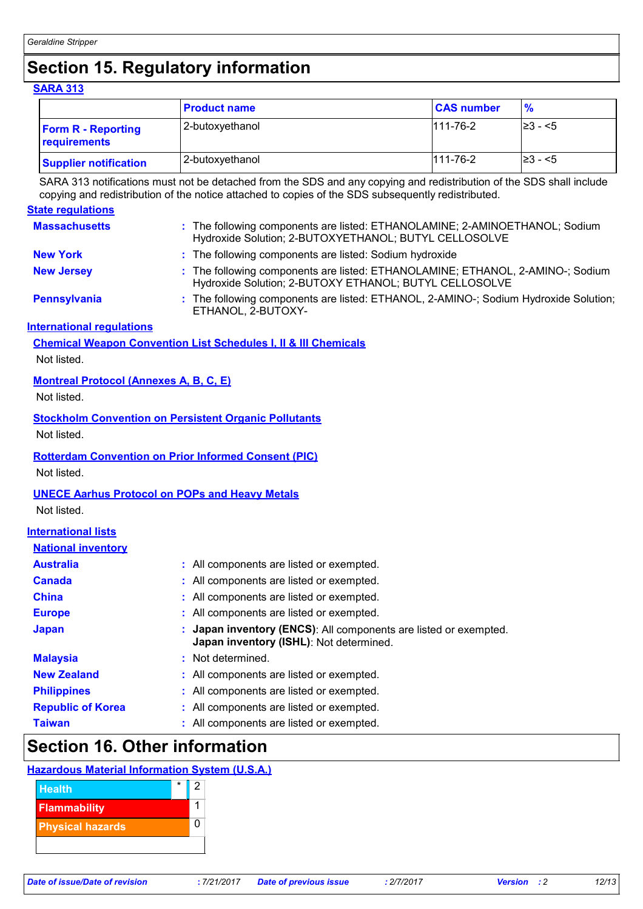# **Section 15. Regulatory information**

| <b>SARA 313</b> |  |  |
|-----------------|--|--|
|                 |  |  |

|                                           | <b>Product name</b> | <b>CAS number</b> | $\%$          |
|-------------------------------------------|---------------------|-------------------|---------------|
| <b>Form R - Reporting</b><br>requirements | 2-butoxyethanol     | $111 - 76 - 2$    | $\geq 3 - 5$  |
| <b>Supplier notification</b>              | 2-butoxyethanol     | $111 - 76 - 2$    | $\geq$ 3 - <5 |

SARA 313 notifications must not be detached from the SDS and any copying and redistribution of the SDS shall include copying and redistribution of the notice attached to copies of the SDS subsequently redistributed.

|                                               | copying and redistribution of the notice attached to copies of the SDS subsequently redistributed.                                       |  |  |  |
|-----------------------------------------------|------------------------------------------------------------------------------------------------------------------------------------------|--|--|--|
| <b>State regulations</b>                      |                                                                                                                                          |  |  |  |
| <b>Massachusetts</b>                          | : The following components are listed: ETHANOLAMINE; 2-AMINOETHANOL; Sodium<br>Hydroxide Solution; 2-BUTOXYETHANOL; BUTYL CELLOSOLVE     |  |  |  |
| <b>New York</b>                               | : The following components are listed: Sodium hydroxide                                                                                  |  |  |  |
| <b>New Jersey</b>                             | : The following components are listed: ETHANOLAMINE; ETHANOL, 2-AMINO-; Sodium<br>Hydroxide Solution; 2-BUTOXY ETHANOL; BUTYL CELLOSOLVE |  |  |  |
| <b>Pennsylvania</b>                           | : The following components are listed: ETHANOL, 2-AMINO-; Sodium Hydroxide Solution;<br>ETHANOL, 2-BUTOXY-                               |  |  |  |
| <b>International regulations</b>              |                                                                                                                                          |  |  |  |
|                                               | <b>Chemical Weapon Convention List Schedules I, II &amp; III Chemicals</b>                                                               |  |  |  |
| Not listed.                                   |                                                                                                                                          |  |  |  |
| <b>Montreal Protocol (Annexes A, B, C, E)</b> |                                                                                                                                          |  |  |  |
| Not listed.                                   |                                                                                                                                          |  |  |  |
|                                               | <b>Stockholm Convention on Persistent Organic Pollutants</b>                                                                             |  |  |  |
| Not listed.                                   |                                                                                                                                          |  |  |  |
|                                               |                                                                                                                                          |  |  |  |
|                                               | <b>Rotterdam Convention on Prior Informed Consent (PIC)</b>                                                                              |  |  |  |
| Not listed.                                   |                                                                                                                                          |  |  |  |
|                                               | <b>UNECE Aarhus Protocol on POPs and Heavy Metals</b>                                                                                    |  |  |  |
| Not listed.                                   |                                                                                                                                          |  |  |  |
| <b>International lists</b>                    |                                                                                                                                          |  |  |  |
| <b>National inventory</b>                     |                                                                                                                                          |  |  |  |
| <b>Australia</b>                              | : All components are listed or exempted.                                                                                                 |  |  |  |
| <b>Canada</b>                                 | : All components are listed or exempted.                                                                                                 |  |  |  |
| <b>China</b>                                  | : All components are listed or exempted.                                                                                                 |  |  |  |
| <b>Europe</b>                                 | : All components are listed or exempted.                                                                                                 |  |  |  |
| <b>Japan</b>                                  | Japan inventory (ENCS): All components are listed or exempted.<br>Japan inventory (ISHL): Not determined.                                |  |  |  |
| <b>Malaysia</b>                               | : Not determined.                                                                                                                        |  |  |  |
| <b>New Zealand</b>                            | : All components are listed or exempted.                                                                                                 |  |  |  |
| <b>Philippines</b>                            | : All components are listed or exempted.                                                                                                 |  |  |  |
| <b>Republic of Korea</b>                      | All components are listed or exempted.                                                                                                   |  |  |  |
| <b>Taiwan</b>                                 | : All components are listed or exempted.                                                                                                 |  |  |  |

### **Section 16. Other information**

#### **Hazardous Material Information System (U.S.A.)**

| <b>Health</b>           | * |  |
|-------------------------|---|--|
| <b>Flammability</b>     |   |  |
| <b>Physical hazards</b> |   |  |
|                         |   |  |